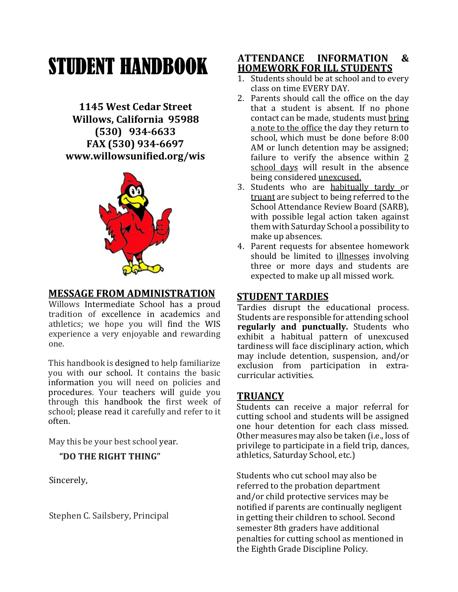# STUDENT HANDBOOK

1145 West Cedar Street Willows, California 95988 (530) 934-6633 FAX (530) 934-6697 www.willowsunified.org/wis



#### MESSAGE FROM ADMINISTRATION

Willows Intermediate School has a proud tradition of excellence in academics and athletics; we hope you will find the WIS experience a very enjoyable and rewarding one.

This handbook is designed to help familiarize you with our school. It contains the basic information you will need on policies and procedures. Your teachers will guide you through this handbook the first week of school; please read it carefully and refer to it often.

May this be your best school year.

#### "DO THE RIGHT THING"

Sincerely,

Stephen C. Sailsbery, Principal

#### ATTENDANCE INFORMATION & HOMEWORK FOR ILL STUDENTS

- 1. Students should be at school and to every class on time EVERY DAY.
- 2. Parents should call the office on the day that a student is absent. If no phone contact can be made, students must bring a note to the office the day they return to school, which must be done before 8:00 AM or lunch detention may be assigned; failure to verify the absence within 2 school days will result in the absence being considered unexcused.
- 3. Students who are habitually tardy or truant are subject to being referred to the School Attendance Review Board (SARB), with possible legal action taken against them with Saturday School a possibility to make up absences.
- 4. Parent requests for absentee homework should be limited to illnesses involving three or more days and students are expected to make up all missed work.

#### STUDENT TARDIES

Tardies disrupt the educational process. Students are responsible for attending school regularly and punctually. Students who exhibit a habitual pattern of unexcused tardiness will face disciplinary action, which may include detention, suspension, and/or exclusion from participation in extracurricular activities.

### **TRUANCY**

Students can receive a major referral for cutting school and students will be assigned one hour detention for each class missed. Other measures may also be taken (i.e., loss of privilege to participate in a field trip, dances, athletics, Saturday School, etc.)

Students who cut school may also be referred to the probation department and/or child protective services may be notified if parents are continually negligent in getting their children to school. Second semester 8th graders have additional penalties for cutting school as mentioned in the Eighth Grade Discipline Policy.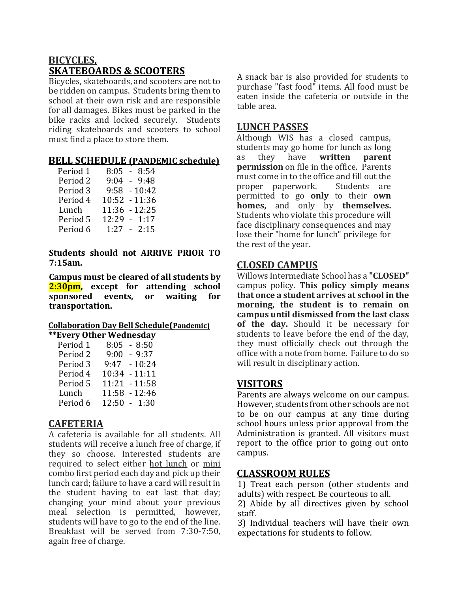## BICYCLES, SKATEBOARDS & SCOOTERS

Bicycles, skateboards, and scooters are not to be ridden on campus. Students bring them to school at their own risk and are responsible for all damages. Bikes must be parked in the bike racks and locked securely. Students riding skateboards and scooters to school must find a place to store them.

#### BELL SCHEDULE (PANDEMIC schedule)

| Period 1            | $8:05 - 8:54$   |
|---------------------|-----------------|
| Period <sub>2</sub> | $9:04 - 9:48$   |
| Period 3            | $9:58 - 10:42$  |
| Period 4            | $10:52 - 11:36$ |
| Lunch               | 11:36 - 12:25   |
| Period 5            | $12:29 - 1:17$  |
| Period 6            | $1:27 - 2:15$   |

Students should not ARRIVE PRIOR TO 7:15am.

Campus must be cleared of all students by 2:30pm, except for attending school sponsored events, or waiting for transportation.

#### Collaboration Day Bell Schedule(Pandemic) \*\*Every Other Wednesday

| $8:05 - 8:50$   |
|-----------------|
| $9:00 - 9:37$   |
| $9:47 - 10:24$  |
| 10:34 - 11:11   |
| $11:21 - 11:58$ |
| 11:58 - 12:46   |
| $12:50 - 1:30$  |
|                 |

### **CAFETERIA**

A cafeteria is available for all students. All students will receive a lunch free of charge, if they so choose. Interested students are required to select either hot lunch or mini combo first period each day and pick up their lunch card; failure to have a card will result in the student having to eat last that day; changing your mind about your previous meal selection is permitted, however, students will have to go to the end of the line. Breakfast will be served from 7:30-7:50, again free of charge.

A snack bar is also provided for students to purchase "fast food" items. All food must be eaten inside the cafeteria or outside in the table area.

#### LUNCH PASSES

Although WIS has a closed campus, students may go home for lunch as long as they have written parent permission on file in the office. Parents must come in to the office and fill out the proper paperwork. Students are permitted to go only to their own homes, and only by themselves. Students who violate this procedure will face disciplinary consequences and may lose their "home for lunch" privilege for the rest of the year.

### CLOSED CAMPUS

Willows Intermediate School has a "CLOSED" campus policy. This policy simply means that once a student arrives at school in the morning, the student is to remain on campus until dismissed from the last class of the day. Should it be necessary for students to leave before the end of the day, they must officially check out through the office with a note from home. Failure to do so will result in disciplinary action.

### VISITORS

Parents are always welcome on our campus. However, students from other schools are not to be on our campus at any time during school hours unless prior approval from the Administration is granted. All visitors must report to the office prior to going out onto campus.

### CLASSROOM RULES

1) Treat each person (other students and adults) with respect. Be courteous to all.

2) Abide by all directives given by school staff.

3) Individual teachers will have their own expectations for students to follow.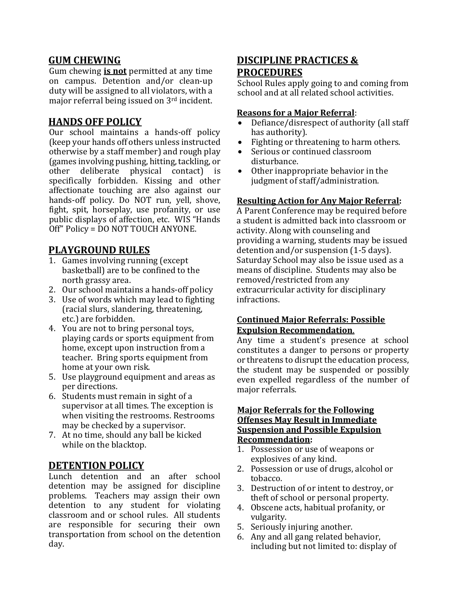#### GUM CHEWING

Gum chewing **is not** permitted at any time on campus. Detention and/or clean-up duty will be assigned to all violators, with a major referral being issued on 3rd incident.

#### HANDS OFF POLICY

Our school maintains a hands-off policy (keep your hands off others unless instructed otherwise by a staff member) and rough play (games involving pushing, hitting, tackling, or other deliberate physical contact) is specifically forbidden. Kissing and other affectionate touching are also against our hands-off policy. Do NOT run, yell, shove, fight, spit, horseplay, use profanity, or use public displays of affection, etc. WIS "Hands Off" Policy = DO NOT TOUCH ANYONE.

## PLAYGROUND RULES

- 1. Games involving running (except basketball) are to be confined to the north grassy area.
- 2. Our school maintains a hands-off policy
- 3. Use of words which may lead to fighting (racial slurs, slandering, threatening, etc.) are forbidden.
- 4. You are not to bring personal toys, playing cards or sports equipment from home, except upon instruction from a teacher. Bring sports equipment from home at your own risk.
- 5. Use playground equipment and areas as per directions.
- 6. Students must remain in sight of a supervisor at all times. The exception is when visiting the restrooms. Restrooms may be checked by a supervisor.
- 7. At no time, should any ball be kicked while on the blacktop.

### DETENTION POLICY

Lunch detention and an after school detention may be assigned for discipline problems. Teachers may assign their own detention to any student for violating classroom and or school rules. All students are responsible for securing their own transportation from school on the detention day.

### DISCIPLINE PRACTICES & PROCEDURES

School Rules apply going to and coming from school and at all related school activities.

#### Reasons for a Major Referral:

- Defiance/disrespect of authority (all staff has authority).
- Fighting or threatening to harm others.
- Serious or continued classroom disturbance.
- Other inappropriate behavior in the judgment of staff/administration.

#### Resulting Action for Any Major Referral:

A Parent Conference may be required before a student is admitted back into classroom or activity. Along with counseling and providing a warning, students may be issued detention and/or suspension (1-5 days). Saturday School may also be issue used as a means of discipline. Students may also be removed/restricted from any extracurricular activity for disciplinary infractions.

#### Continued Major Referrals: Possible Expulsion Recommendation.

Any time a student's presence at school constitutes a danger to persons or property or threatens to disrupt the education process, the student may be suspended or possibly even expelled regardless of the number of major referrals.

#### Major Referrals for the Following Offenses May Result in Immediate Suspension and Possible Expulsion Recommendation:

- 1. Possession or use of weapons or explosives of any kind.
- 2. Possession or use of drugs, alcohol or tobacco.
- 3. Destruction of or intent to destroy, or theft of school or personal property.
- 4. Obscene acts, habitual profanity, or vulgarity.
- 5. Seriously injuring another.
- 6. Any and all gang related behavior, including but not limited to: display of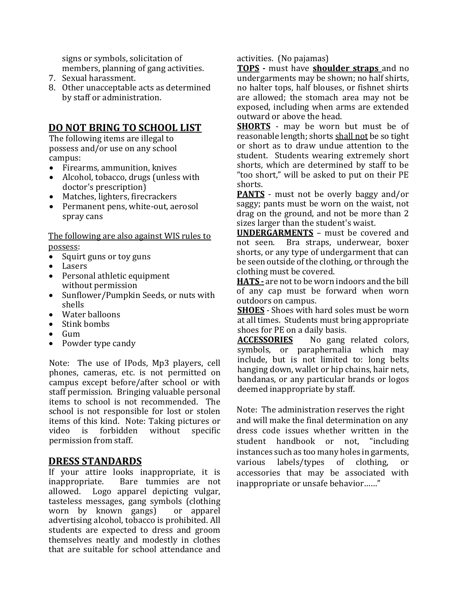signs or symbols, solicitation of members, planning of gang activities.

- 7. Sexual harassment.
- 8. Other unacceptable acts as determined by staff or administration.

#### DO NOT BRING TO SCHOOL LIST

The following items are illegal to possess and/or use on any school campus:

- Firearms, ammunition, knives
- Alcohol, tobacco, drugs (unless with doctor's prescription)
- Matches, lighters, firecrackers
- Permanent pens, white-out, aerosol spray cans

The following are also against WIS rules to possess:

- Squirt guns or toy guns
- Lasers
- Personal athletic equipment without permission
- Sunflower/Pumpkin Seeds, or nuts with shells
- Water balloons
- Stink bombs
- $\bullet$  Gum
- Powder type candy

Note: The use of IPods, Mp3 players, cell phones, cameras, etc. is not permitted on campus except before/after school or with staff permission. Bringing valuable personal items to school is not recommended. The school is not responsible for lost or stolen items of this kind. Note: Taking pictures or video is forbidden without specific permission from staff.

#### DRESS STANDARDS

If your attire looks inappropriate, it is inappropriate. Bare tummies are not allowed. Logo apparel depicting vulgar, tasteless messages, gang symbols (clothing worn by known gangs) or apparel advertising alcohol, tobacco is prohibited. All students are expected to dress and groom themselves neatly and modestly in clothes that are suitable for school attendance and activities. (No pajamas)

TOPS - must have shoulder straps and no undergarments may be shown; no half shirts, no halter tops, half blouses, or fishnet shirts are allowed; the stomach area may not be exposed, including when arms are extended outward or above the head.

**SHORTS** - may be worn but must be of reasonable length; shorts shall not be so tight or short as to draw undue attention to the student. Students wearing extremely short shorts, which are determined by staff to be "too short," will be asked to put on their PE shorts.

PANTS - must not be overly baggy and/or saggy; pants must be worn on the waist, not drag on the ground, and not be more than 2 sizes larger than the student's waist.

UNDERGARMENTS – must be covered and not seen. Bra straps, underwear, boxer shorts, or any type of undergarment that can be seen outside of the clothing, or through the clothing must be covered.

HATS - are not to be worn indoors and the bill of any cap must be forward when worn outdoors on campus.

**SHOES** - Shoes with hard soles must be worn at all times. Students must bring appropriate shoes for PE on a daily basis.

**ACCESSORIES** No gang related colors, symbols, or paraphernalia which may include, but is not limited to: long belts hanging down, wallet or hip chains, hair nets, bandanas, or any particular brands or logos deemed inappropriate by staff.

Note: The administration reserves the right and will make the final determination on any dress code issues whether written in the student handbook or not, "including instances such as too many holes in garments, various labels/types of clothing, or accessories that may be associated with inappropriate or unsafe behavior……"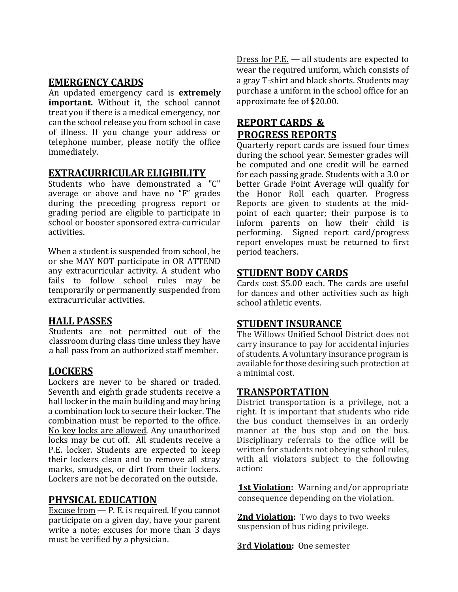#### EMERGENCY CARDS

An updated emergency card is **extremely** important. Without it, the school cannot treat you if there is a medical emergency, nor can the school release you from school in case of illness. If you change your address or telephone number, please notify the office immediately.

### EXTRACURRICULAR ELIGIBILITY

Students who have demonstrated a "C" average or above and have no "F" grades during the preceding progress report or grading period are eligible to participate in school or booster sponsored extra-curricular activities.

When a student is suspended from school, he or she MAY NOT participate in OR ATTEND any extracurricular activity. A student who fails to follow school rules may be temporarily or permanently suspended from extracurricular activities.

#### HALL PASSES

Students are not permitted out of the classroom during class time unless they have a hall pass from an authorized staff member.

### LOCKERS

Lockers are never to be shared or traded. Seventh and eighth grade students receive a hall locker in the main building and may bring a combination lock to secure their locker. The combination must be reported to the office. No key locks are allowed. Any unauthorized locks may be cut off. All students receive a P.E. locker. Students are expected to keep their lockers clean and to remove all stray marks, smudges, or dirt from their lockers. Lockers are not be decorated on the outside.

#### PHYSICAL EDUCATION

Excuse from  $-$  P. E. is required. If you cannot participate on a given day, have your parent write a note; excuses for more than 3 days must be verified by a physician.

Dress for P.E. — all students are expected to wear the required uniform, which consists of a gray T-shirt and black shorts. Students may purchase a uniform in the school office for an approximate fee of \$20.00.

## REPORT CARDS & PROGRESS REPORTS

Quarterly report cards are issued four times during the school year. Semester grades will be computed and one credit will be earned for each passing grade. Students with a 3.0 or better Grade Point Average will qualify for the Honor Roll each quarter. Progress Reports are given to students at the midpoint of each quarter; their purpose is to inform parents on how their child is performing. Signed report card/progress report envelopes must be returned to first period teachers.

#### STUDENT BODY CARDS

Cards cost \$5.00 each. The cards are useful for dances and other activities such as high school athletic events.

#### STUDENT INSURANCE

The Willows Unified School District does not carry insurance to pay for accidental injuries of students. A voluntary insurance program is available for those desiring such protection at a minimal cost.

#### TRANSPORTATION

District transportation is a privilege, not a right. It is important that students who ride the bus conduct themselves in an orderly manner at the bus stop and on the bus. Disciplinary referrals to the office will be written for students not obeying school rules, with all violators subject to the following action:

**1st Violation:** Warning and/or appropriate consequence depending on the violation.

2nd Violation: Two days to two weeks suspension of bus riding privilege.

3rd Violation: One semester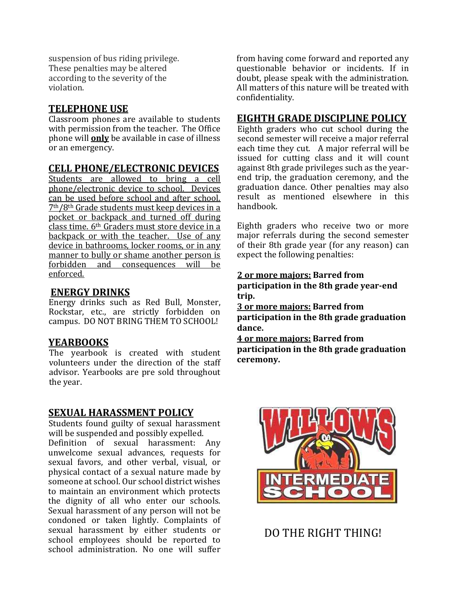suspension of bus riding privilege. These penalties may be altered according to the severity of the violation.

#### TELEPHONE USE

Classroom phones are available to students with permission from the teacher. The Office phone will **only** be available in case of illness or an emergency.

#### CELL PHONE/ELECTRONIC DEVICES

Students are allowed to bring a cell phone/electronic device to school. Devices can be used before school and after school. 7th/8th Grade students must keep devices in a pocket or backpack and turned off during class time. 6th Graders must store device in a backpack or with the teacher. Use of any device in bathrooms, locker rooms, or in any manner to bully or shame another person is forbidden and consequences will be enforced.

## ENERGY DRINKS

Energy drinks such as Red Bull, Monster, Rockstar, etc., are strictly forbidden on campus. DO NOT BRING THEM TO SCHOOL!

### YEARBOOKS

The yearbook is created with student volunteers under the direction of the staff advisor. Yearbooks are pre sold throughout the year.

### SEXUAL HARASSMENT POLICY

Students found guilty of sexual harassment will be suspended and possibly expelled. Definition of sexual harassment: Any unwelcome sexual advances, requests for sexual favors, and other verbal, visual, or physical contact of a sexual nature made by someone at school. Our school district wishes to maintain an environment which protects the dignity of all who enter our schools. Sexual harassment of any person will not be condoned or taken lightly. Complaints of sexual harassment by either students or school employees should be reported to school administration. No one will suffer from having come forward and reported any questionable behavior or incidents. If in doubt, please speak with the administration. All matters of this nature will be treated with confidentiality.

## EIGHTH GRADE DISCIPLINE POLICY

Eighth graders who cut school during the second semester will receive a major referral each time they cut. A major referral will be issued for cutting class and it will count against 8th grade privileges such as the yearend trip, the graduation ceremony, and the graduation dance. Other penalties may also result as mentioned elsewhere in this handbook.

Eighth graders who receive two or more major referrals during the second semester of their 8th grade year (for any reason) can expect the following penalties:

## 2 or more majors: Barred from

participation in the 8th grade year-end trip.

3 or more majors: Barred from participation in the 8th grade graduation dance.

4 or more majors: Barred from participation in the 8th grade graduation ceremony.



DO THE RIGHT THING!